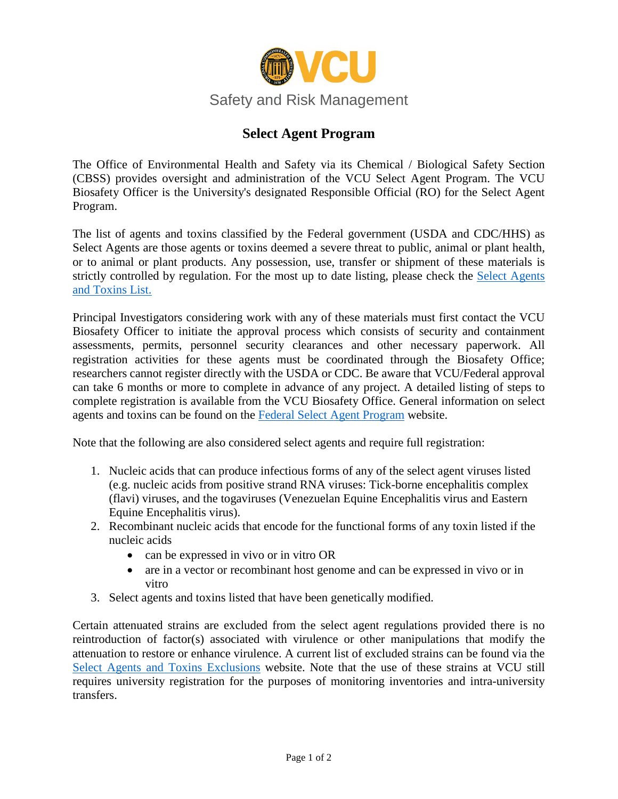

## **Select Agent Program**

The Office of Environmental Health and Safety via its Chemical / Biological Safety Section (CBSS) provides oversight and administration of the VCU Select Agent Program. The VCU Biosafety Officer is the University's designated Responsible Official (RO) for the Select Agent Program.

The list of agents and toxins classified by the Federal government (USDA and CDC/HHS) as Select Agents are those agents or toxins deemed a severe threat to public, animal or plant health, or to animal or plant products. Any possession, use, transfer or shipment of these materials is strictly controlled by regulation. For the most up to date listing, please check the [Select Agents](https://www.selectagents.gov/SelectAgentsandToxinsList.html)  [and Toxins List.](https://www.selectagents.gov/SelectAgentsandToxinsList.html)

Principal Investigators considering work with any of these materials must first contact the VCU Biosafety Officer to initiate the approval process which consists of security and containment assessments, permits, personnel security clearances and other necessary paperwork. All registration activities for these agents must be coordinated through the Biosafety Office; researchers cannot register directly with the USDA or CDC. Be aware that VCU/Federal approval can take 6 months or more to complete in advance of any project. A detailed listing of steps to complete registration is available from the VCU Biosafety Office. General information on select agents and toxins can be found on the [Federal Select Agent Program](https://www.selectagents.gov/index.html) website.

Note that the following are also considered select agents and require full registration:

- 1. Nucleic acids that can produce infectious forms of any of the select agent viruses listed (e.g. nucleic acids from positive strand RNA viruses: Tick-borne encephalitis complex (flavi) viruses, and the togaviruses (Venezuelan Equine Encephalitis virus and Eastern Equine Encephalitis virus).
- 2. Recombinant nucleic acids that encode for the functional forms of any toxin listed if the nucleic acids
	- can be expressed in vivo or in vitro OR
	- are in a vector or recombinant host genome and can be expressed in vivo or in vitro
- 3. Select agents and toxins listed that have been genetically modified.

Certain attenuated strains are excluded from the select agent regulations provided there is no reintroduction of factor(s) associated with virulence or other manipulations that modify the attenuation to restore or enhance virulence. A current list of excluded strains can be found via the [Select Agents and Toxins Exclusions](https://www.selectagents.gov/SelectAgentsandToxinsExclusions.html) website. Note that the use of these strains at VCU still requires university registration for the purposes of monitoring inventories and intra-university transfers.